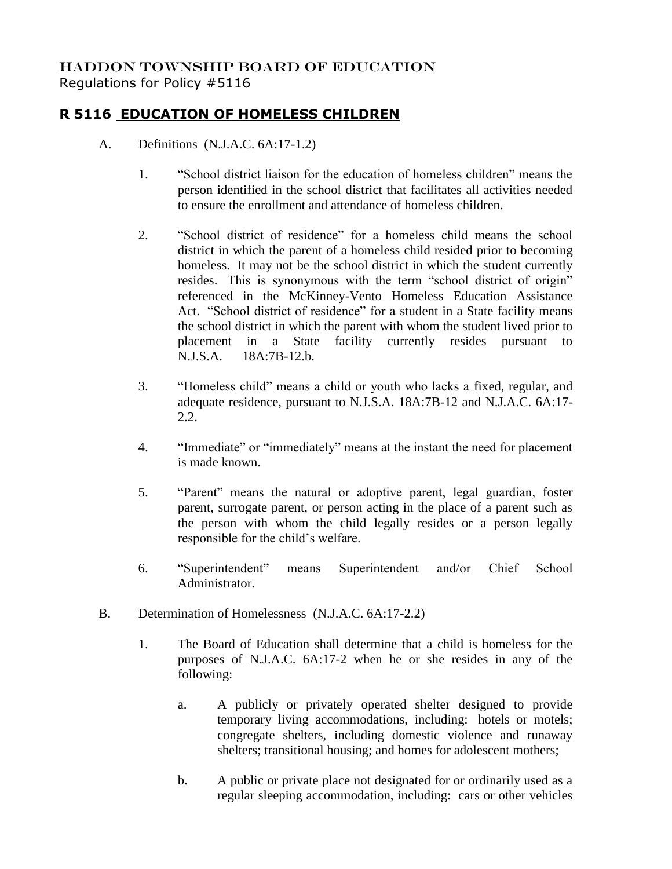## HADDON TOWNSHIP BOARD OF EDUCATION Regulations for Policy #5116

## **R 5116 EDUCATION OF HOMELESS CHILDREN**

- A. Definitions (N.J.A.C. 6A:17-1.2)
	- 1. "School district liaison for the education of homeless children" means the person identified in the school district that facilitates all activities needed to ensure the enrollment and attendance of homeless children.
	- 2. "School district of residence" for a homeless child means the school district in which the parent of a homeless child resided prior to becoming homeless. It may not be the school district in which the student currently resides. This is synonymous with the term "school district of origin" referenced in the McKinney-Vento Homeless Education Assistance Act. "School district of residence" for a student in a State facility means the school district in which the parent with whom the student lived prior to placement in a State facility currently resides pursuant to N.J.S.A. 18A:7B-12.b.
	- 3. "Homeless child" means a child or youth who lacks a fixed, regular, and adequate residence, pursuant to N.J.S.A. 18A:7B-12 and N.J.A.C. 6A:17- 2.2.
	- 4. "Immediate" or "immediately" means at the instant the need for placement is made known.
	- 5. "Parent" means the natural or adoptive parent, legal guardian, foster parent, surrogate parent, or person acting in the place of a parent such as the person with whom the child legally resides or a person legally responsible for the child's welfare.
	- 6. "Superintendent" means Superintendent and/or Chief School Administrator.
- B. Determination of Homelessness (N.J.A.C. 6A:17-2.2)
	- 1. The Board of Education shall determine that a child is homeless for the purposes of N.J.A.C. 6A:17-2 when he or she resides in any of the following:
		- a. A publicly or privately operated shelter designed to provide temporary living accommodations, including: hotels or motels; congregate shelters, including domestic violence and runaway shelters; transitional housing; and homes for adolescent mothers;
		- b. A public or private place not designated for or ordinarily used as a regular sleeping accommodation, including: cars or other vehicles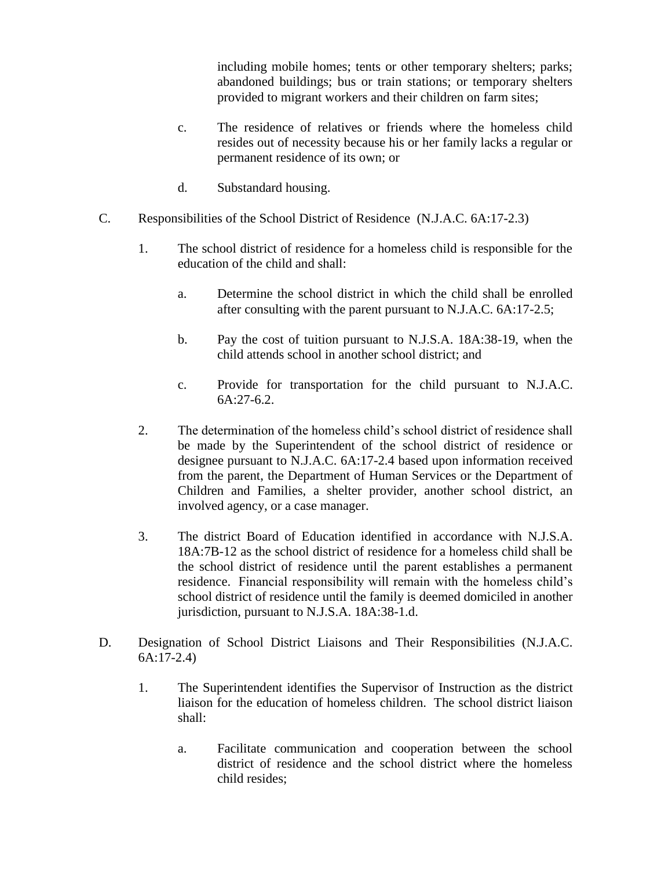including mobile homes; tents or other temporary shelters; parks; abandoned buildings; bus or train stations; or temporary shelters provided to migrant workers and their children on farm sites;

- c. The residence of relatives or friends where the homeless child resides out of necessity because his or her family lacks a regular or permanent residence of its own; or
- d. Substandard housing.
- C. Responsibilities of the School District of Residence (N.J.A.C. 6A:17-2.3)
	- 1. The school district of residence for a homeless child is responsible for the education of the child and shall:
		- a. Determine the school district in which the child shall be enrolled after consulting with the parent pursuant to N.J.A.C. 6A:17-2.5;
		- b. Pay the cost of tuition pursuant to N.J.S.A. 18A:38-19, when the child attends school in another school district; and
		- c. Provide for transportation for the child pursuant to N.J.A.C.  $6A:27-6.2.$
	- 2. The determination of the homeless child's school district of residence shall be made by the Superintendent of the school district of residence or designee pursuant to N.J.A.C. 6A:17-2.4 based upon information received from the parent, the Department of Human Services or the Department of Children and Families, a shelter provider, another school district, an involved agency, or a case manager.
	- 3. The district Board of Education identified in accordance with N.J.S.A. 18A:7B-12 as the school district of residence for a homeless child shall be the school district of residence until the parent establishes a permanent residence. Financial responsibility will remain with the homeless child's school district of residence until the family is deemed domiciled in another jurisdiction, pursuant to N.J.S.A. 18A:38-1.d.
- D. Designation of School District Liaisons and Their Responsibilities (N.J.A.C. 6A:17-2.4)
	- 1. The Superintendent identifies the Supervisor of Instruction as the district liaison for the education of homeless children. The school district liaison shall:
		- a. Facilitate communication and cooperation between the school district of residence and the school district where the homeless child resides;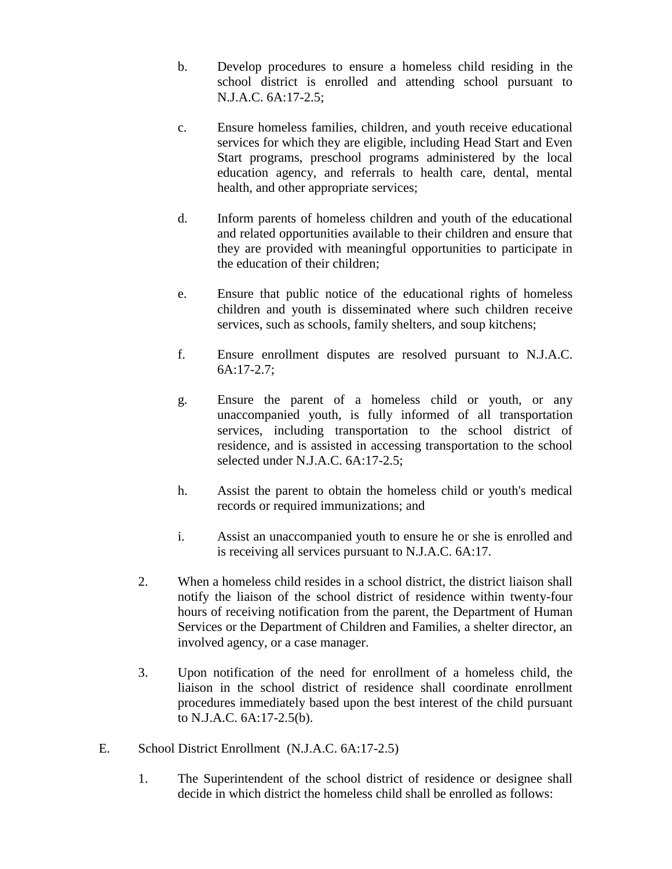- b. Develop procedures to ensure a homeless child residing in the school district is enrolled and attending school pursuant to N.J.A.C. 6A:17-2.5;
- c. Ensure homeless families, children, and youth receive educational services for which they are eligible, including Head Start and Even Start programs, preschool programs administered by the local education agency, and referrals to health care, dental, mental health, and other appropriate services;
- d. Inform parents of homeless children and youth of the educational and related opportunities available to their children and ensure that they are provided with meaningful opportunities to participate in the education of their children;
- e. Ensure that public notice of the educational rights of homeless children and youth is disseminated where such children receive services, such as schools, family shelters, and soup kitchens;
- f. Ensure enrollment disputes are resolved pursuant to N.J.A.C. 6A:17-2.7;
- g. Ensure the parent of a homeless child or youth, or any unaccompanied youth, is fully informed of all transportation services, including transportation to the school district of residence, and is assisted in accessing transportation to the school selected under N.J.A.C. 6A:17-2.5;
- h. Assist the parent to obtain the homeless child or youth's medical records or required immunizations; and
- i. Assist an unaccompanied youth to ensure he or she is enrolled and is receiving all services pursuant to N.J.A.C. 6A:17.
- 2. When a homeless child resides in a school district, the district liaison shall notify the liaison of the school district of residence within twenty-four hours of receiving notification from the parent, the Department of Human Services or the Department of Children and Families, a shelter director, an involved agency, or a case manager.
- 3. Upon notification of the need for enrollment of a homeless child, the liaison in the school district of residence shall coordinate enrollment procedures immediately based upon the best interest of the child pursuant to N.J.A.C. 6A:17-2.5(b).
- E. School District Enrollment (N.J.A.C. 6A:17-2.5)
	- 1. The Superintendent of the school district of residence or designee shall decide in which district the homeless child shall be enrolled as follows: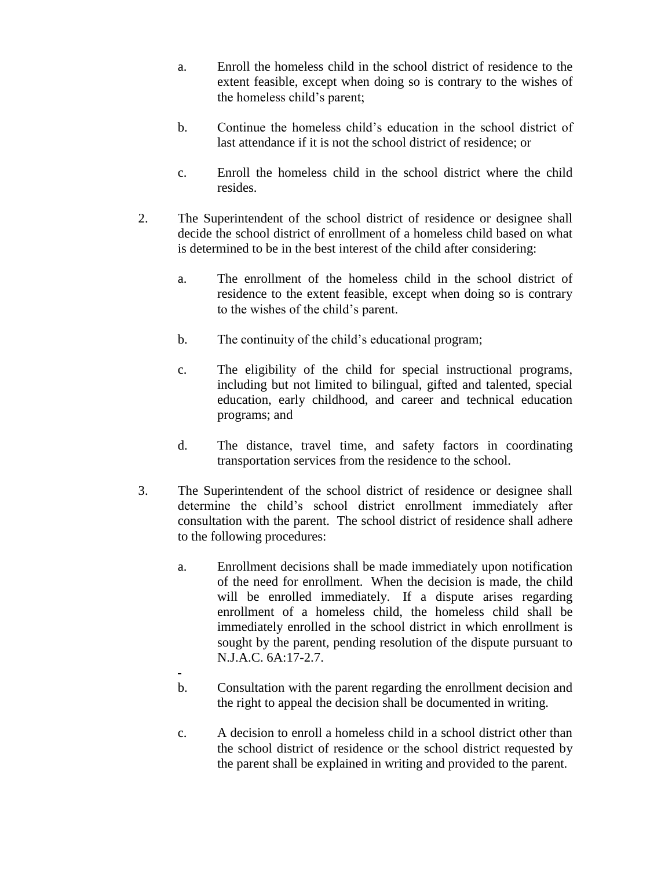- a. Enroll the homeless child in the school district of residence to the extent feasible, except when doing so is contrary to the wishes of the homeless child's parent;
- b. Continue the homeless child's education in the school district of last attendance if it is not the school district of residence; or
- c. Enroll the homeless child in the school district where the child resides.
- 2. The Superintendent of the school district of residence or designee shall decide the school district of enrollment of a homeless child based on what is determined to be in the best interest of the child after considering:
	- a. The enrollment of the homeless child in the school district of residence to the extent feasible, except when doing so is contrary to the wishes of the child's parent.
	- b. The continuity of the child's educational program;
	- c. The eligibility of the child for special instructional programs, including but not limited to bilingual, gifted and talented, special education, early childhood, and career and technical education programs; and
	- d. The distance, travel time, and safety factors in coordinating transportation services from the residence to the school.
- 3. The Superintendent of the school district of residence or designee shall determine the child's school district enrollment immediately after consultation with the parent. The school district of residence shall adhere to the following procedures:
	- a. Enrollment decisions shall be made immediately upon notification of the need for enrollment. When the decision is made, the child will be enrolled immediately. If a dispute arises regarding enrollment of a homeless child, the homeless child shall be immediately enrolled in the school district in which enrollment is sought by the parent, pending resolution of the dispute pursuant to N.J.A.C. 6A:17-2.7.
	- b. Consultation with the parent regarding the enrollment decision and the right to appeal the decision shall be documented in writing.
	- c. A decision to enroll a homeless child in a school district other than the school district of residence or the school district requested by the parent shall be explained in writing and provided to the parent.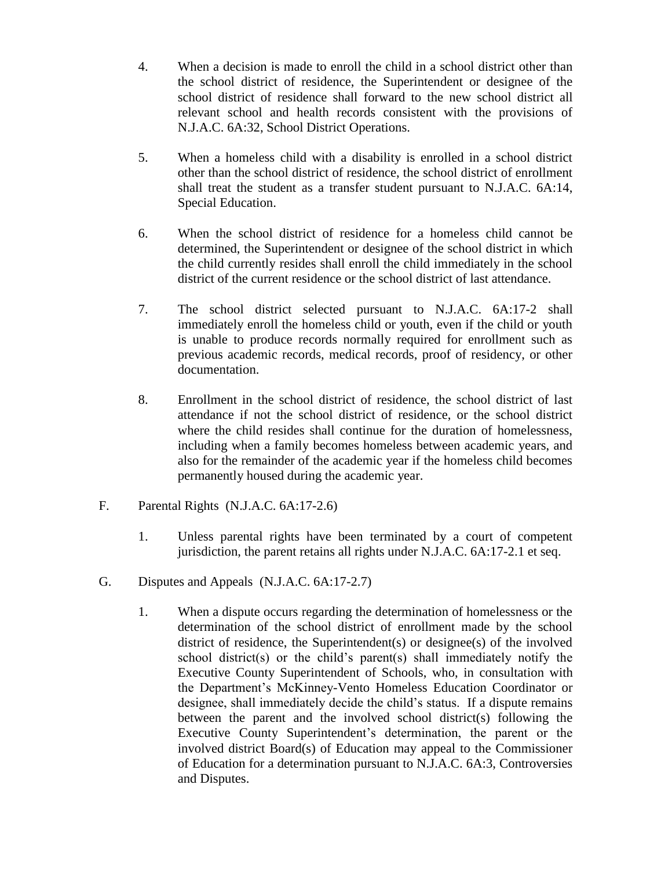- 4. When a decision is made to enroll the child in a school district other than the school district of residence, the Superintendent or designee of the school district of residence shall forward to the new school district all relevant school and health records consistent with the provisions of N.J.A.C. 6A:32, School District Operations.
- 5. When a homeless child with a disability is enrolled in a school district other than the school district of residence, the school district of enrollment shall treat the student as a transfer student pursuant to N.J.A.C. 6A:14, Special Education.
- 6. When the school district of residence for a homeless child cannot be determined, the Superintendent or designee of the school district in which the child currently resides shall enroll the child immediately in the school district of the current residence or the school district of last attendance.
- 7. The school district selected pursuant to N.J.A.C. 6A:17-2 shall immediately enroll the homeless child or youth, even if the child or youth is unable to produce records normally required for enrollment such as previous academic records, medical records, proof of residency, or other documentation.
- 8. Enrollment in the school district of residence, the school district of last attendance if not the school district of residence, or the school district where the child resides shall continue for the duration of homelessness, including when a family becomes homeless between academic years, and also for the remainder of the academic year if the homeless child becomes permanently housed during the academic year.
- F. Parental Rights (N.J.A.C. 6A:17-2.6)
	- 1. Unless parental rights have been terminated by a court of competent jurisdiction, the parent retains all rights under N.J.A.C. 6A:17-2.1 et seq.
- G. Disputes and Appeals (N.J.A.C. 6A:17-2.7)
	- 1. When a dispute occurs regarding the determination of homelessness or the determination of the school district of enrollment made by the school district of residence, the Superintendent(s) or designee(s) of the involved school district(s) or the child's parent(s) shall immediately notify the Executive County Superintendent of Schools, who, in consultation with the Department's McKinney-Vento Homeless Education Coordinator or designee, shall immediately decide the child's status. If a dispute remains between the parent and the involved school district(s) following the Executive County Superintendent's determination, the parent or the involved district Board(s) of Education may appeal to the Commissioner of Education for a determination pursuant to N.J.A.C. 6A:3, Controversies and Disputes.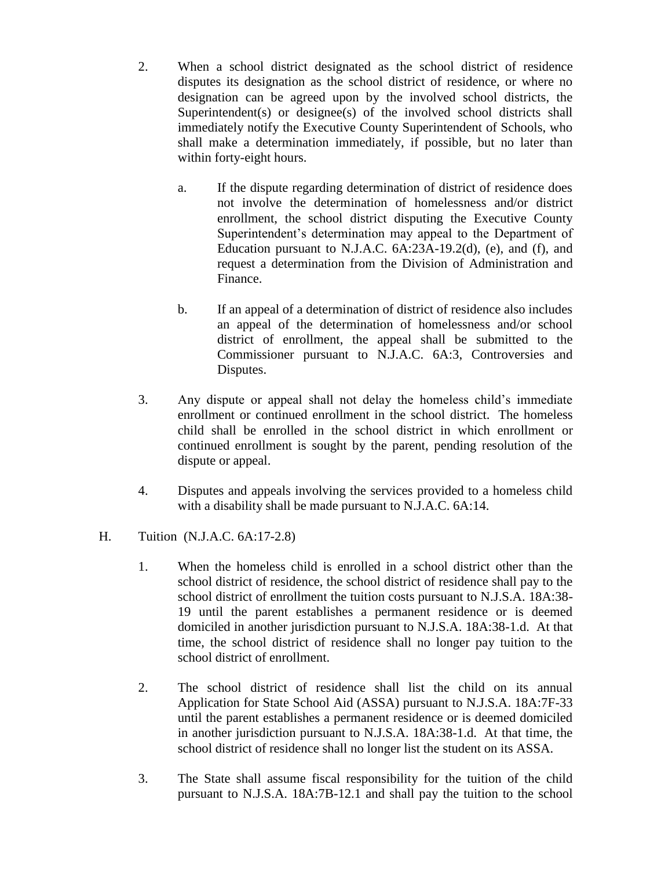- 2. When a school district designated as the school district of residence disputes its designation as the school district of residence, or where no designation can be agreed upon by the involved school districts, the Superintendent(s) or designee(s) of the involved school districts shall immediately notify the Executive County Superintendent of Schools, who shall make a determination immediately, if possible, but no later than within forty-eight hours.
	- a. If the dispute regarding determination of district of residence does not involve the determination of homelessness and/or district enrollment, the school district disputing the Executive County Superintendent's determination may appeal to the Department of Education pursuant to N.J.A.C.  $6A:23A-19.2(d)$ , (e), and (f), and request a determination from the Division of Administration and Finance.
	- b. If an appeal of a determination of district of residence also includes an appeal of the determination of homelessness and/or school district of enrollment, the appeal shall be submitted to the Commissioner pursuant to N.J.A.C. 6A:3, Controversies and Disputes.
- 3. Any dispute or appeal shall not delay the homeless child's immediate enrollment or continued enrollment in the school district. The homeless child shall be enrolled in the school district in which enrollment or continued enrollment is sought by the parent, pending resolution of the dispute or appeal.
- 4. Disputes and appeals involving the services provided to a homeless child with a disability shall be made pursuant to N.J.A.C. 6A:14.
- H. Tuition (N.J.A.C. 6A:17-2.8)
	- 1. When the homeless child is enrolled in a school district other than the school district of residence, the school district of residence shall pay to the school district of enrollment the tuition costs pursuant to N.J.S.A. 18A:38- 19 until the parent establishes a permanent residence or is deemed domiciled in another jurisdiction pursuant to N.J.S.A. 18A:38-1.d. At that time, the school district of residence shall no longer pay tuition to the school district of enrollment.
	- 2. The school district of residence shall list the child on its annual Application for State School Aid (ASSA) pursuant to N.J.S.A. 18A:7F-33 until the parent establishes a permanent residence or is deemed domiciled in another jurisdiction pursuant to N.J.S.A. 18A:38-1.d. At that time, the school district of residence shall no longer list the student on its ASSA.
	- 3. The State shall assume fiscal responsibility for the tuition of the child pursuant to N.J.S.A. 18A:7B-12.1 and shall pay the tuition to the school